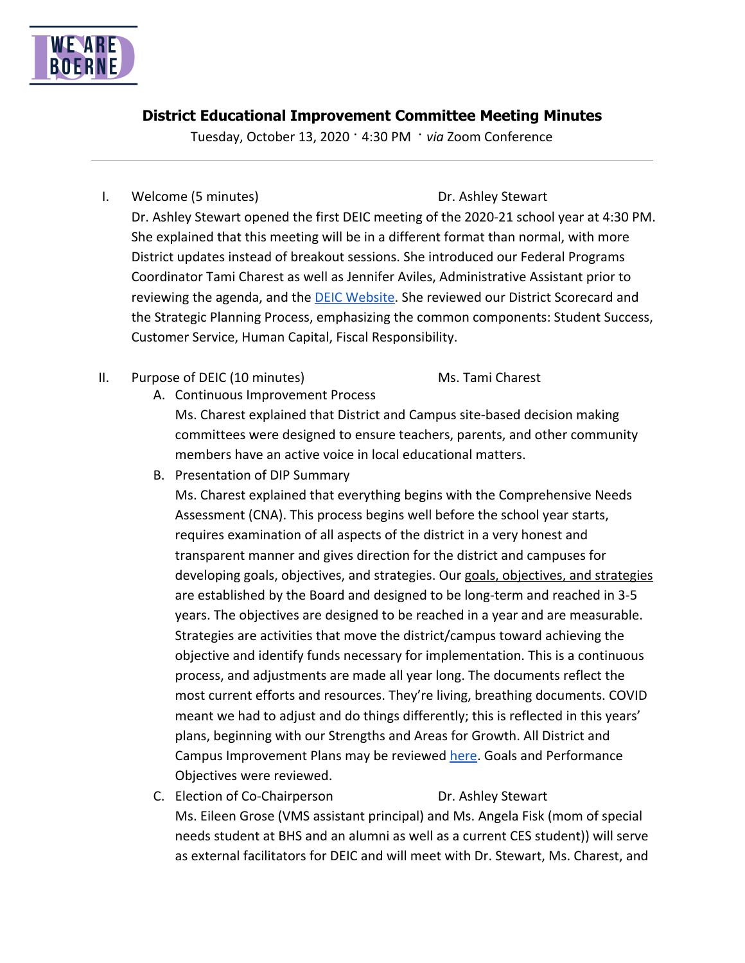

# **District Educational Improvement Committee Meeting Minutes**

Tuesday, October 13, 2020 · 4:30 PM · *via* Zoom Conference

## I. Welcome (5 minutes) Dr. Ashley Stewart

Dr. Ashley Stewart opened the first DEIC meeting of the 2020-21 school year at 4:30 PM. She explained that this meeting will be in a different format than normal, with more District updates instead of breakout sessions. She introduced our Federal Programs Coordinator Tami Charest as well as Jennifer Aviles, Administrative Assistant prior to reviewing the agenda, and the [DEIC Website.](https://www.boerneisd.net/Page/9165) She reviewed our District Scorecard and the Strategic Planning Process, emphasizing the common components: Student Success, Customer Service, Human Capital, Fiscal Responsibility.

II. Purpose of DEIC (10 minutes) Ms. Tami Charest

A. Continuous Improvement Process

Ms. Charest explained that District and Campus site-based decision making committees were designed to ensure teachers, parents, and other community members have an active voice in local educational matters.

B. Presentation of DIP Summary

Ms. Charest explained that everything begins with the Comprehensive Needs Assessment (CNA). This process begins well before the school year starts, requires examination of all aspects of the district in a very honest and transparent manner and gives direction for the district and campuses for developing goals, objectives, and strategies. Our goals, objectives, and strategies are established by the Board and designed to be long-term and reached in 3-5 years. The objectives are designed to be reached in a year and are measurable. Strategies are activities that move the district/campus toward achieving the objective and identify funds necessary for implementation. This is a continuous process, and adjustments are made all year long. The documents reflect the most current efforts and resources. They're living, breathing documents. COVID meant we had to adjust and do things differently; this is reflected in this years' plans, beginning with our Strengths and Areas for Growth. All District and Campus Improvement Plans may be reviewed [here](https://www.boerneisd.net/Page/9250). Goals and Performance Objectives were reviewed.

C. Election of Co-Chairperson **Dr. Ashley Stewart** Ms. Eileen Grose (VMS assistant principal) and Ms. Angela Fisk (mom of special needs student at BHS and an alumni as well as a current CES student)) will serve as external facilitators for DEIC and will meet with Dr. Stewart, Ms. Charest, and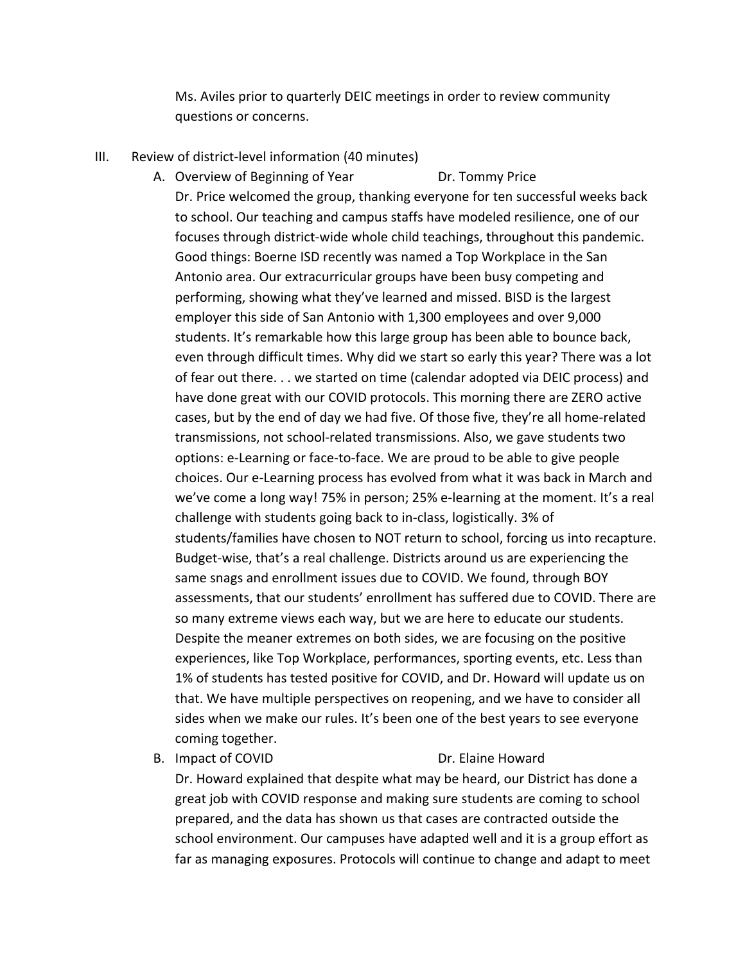Ms. Aviles prior to quarterly DEIC meetings in order to review community questions or concerns.

III. Review of district-level information (40 minutes)

A. Overview of Beginning of Year **Dr. Tommy Price** Dr. Price welcomed the group, thanking everyone for ten successful weeks back to school. Our teaching and campus staffs have modeled resilience, one of our focuses through district-wide whole child teachings, throughout this pandemic. Good things: Boerne ISD recently was named a Top Workplace in the San Antonio area. Our extracurricular groups have been busy competing and performing, showing what they've learned and missed. BISD is the largest employer this side of San Antonio with 1,300 employees and over 9,000 students. It's remarkable how this large group has been able to bounce back, even through difficult times. Why did we start so early this year? There was a lot of fear out there. . . we started on time (calendar adopted via DEIC process) and have done great with our COVID protocols. This morning there are ZERO active cases, but by the end of day we had five. Of those five, they're all home-related transmissions, not school-related transmissions. Also, we gave students two options: e-Learning or face-to-face. We are proud to be able to give people choices. Our e-Learning process has evolved from what it was back in March and we've come a long way! 75% in person; 25% e-learning at the moment. It's a real challenge with students going back to in-class, logistically. 3% of students/families have chosen to NOT return to school, forcing us into recapture. Budget-wise, that's a real challenge. Districts around us are experiencing the same snags and enrollment issues due to COVID. We found, through BOY assessments, that our students' enrollment has suffered due to COVID. There are so many extreme views each way, but we are here to educate our students. Despite the meaner extremes on both sides, we are focusing on the positive experiences, like Top Workplace, performances, sporting events, etc. Less than 1% of students has tested positive for COVID, and Dr. Howard will update us on that. We have multiple perspectives on reopening, and we have to consider all sides when we make our rules. It's been one of the best years to see everyone coming together.

B. Impact of COVID Dr. Elaine Howard

Dr. Howard explained that despite what may be heard, our District has done a great job with COVID response and making sure students are coming to school prepared, and the data has shown us that cases are contracted outside the school environment. Our campuses have adapted well and it is a group effort as far as managing exposures. Protocols will continue to change and adapt to meet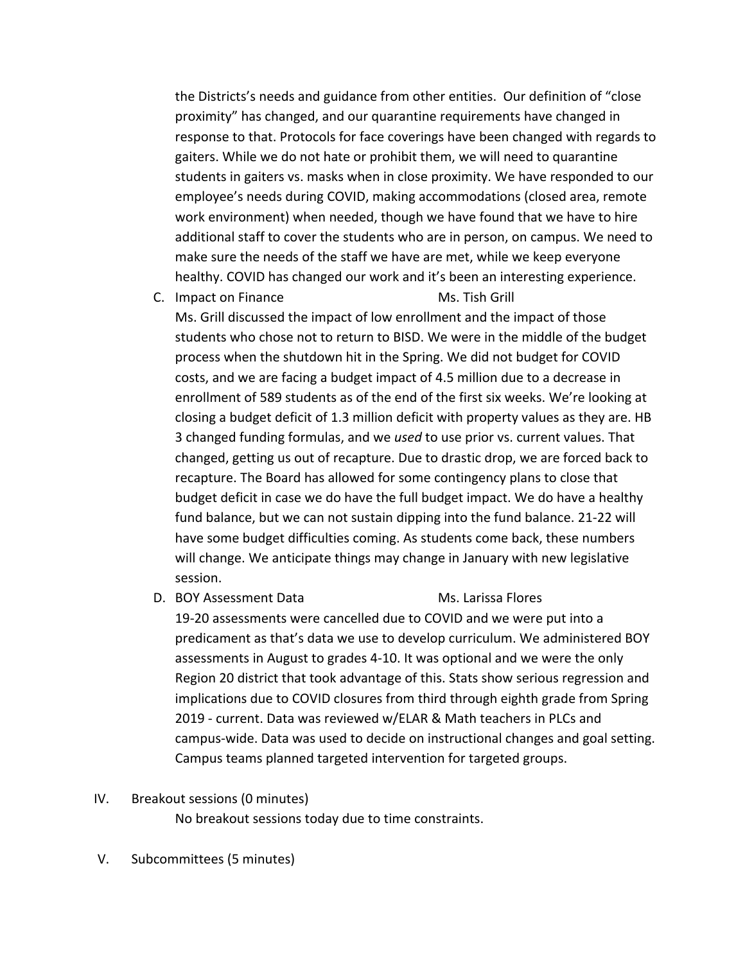the Districts's needs and guidance from other entities. Our definition of "close proximity" has changed, and our quarantine requirements have changed in response to that. Protocols for face coverings have been changed with regards to gaiters. While we do not hate or prohibit them, we will need to quarantine students in gaiters vs. masks when in close proximity. We have responded to our employee's needs during COVID, making accommodations (closed area, remote work environment) when needed, though we have found that we have to hire additional staff to cover the students who are in person, on campus. We need to make sure the needs of the staff we have are met, while we keep everyone healthy. COVID has changed our work and it's been an interesting experience.

C. Impact on Finance Ms. Tish Grill

Ms. Grill discussed the impact of low enrollment and the impact of those students who chose not to return to BISD. We were in the middle of the budget process when the shutdown hit in the Spring. We did not budget for COVID costs, and we are facing a budget impact of 4.5 million due to a decrease in enrollment of 589 students as of the end of the first six weeks. We're looking at closing a budget deficit of 1.3 million deficit with property values as they are. HB 3 changed funding formulas, and we *used* to use prior vs. current values. That changed, getting us out of recapture. Due to drastic drop, we are forced back to recapture. The Board has allowed for some contingency plans to close that budget deficit in case we do have the full budget impact. We do have a healthy fund balance, but we can not sustain dipping into the fund balance. 21-22 will have some budget difficulties coming. As students come back, these numbers will change. We anticipate things may change in January with new legislative session.

D. BOY Assessment Data Ms. Larissa Flores

19-20 assessments were cancelled due to COVID and we were put into a predicament as that's data we use to develop curriculum. We administered BOY assessments in August to grades 4-10. It was optional and we were the only Region 20 district that took advantage of this. Stats show serious regression and implications due to COVID closures from third through eighth grade from Spring 2019 - current. Data was reviewed w/ELAR & Math teachers in PLCs and campus-wide. Data was used to decide on instructional changes and goal setting. Campus teams planned targeted intervention for targeted groups.

### IV. Breakout sessions (0 minutes)

No breakout sessions today due to time constraints.

V. Subcommittees (5 minutes)